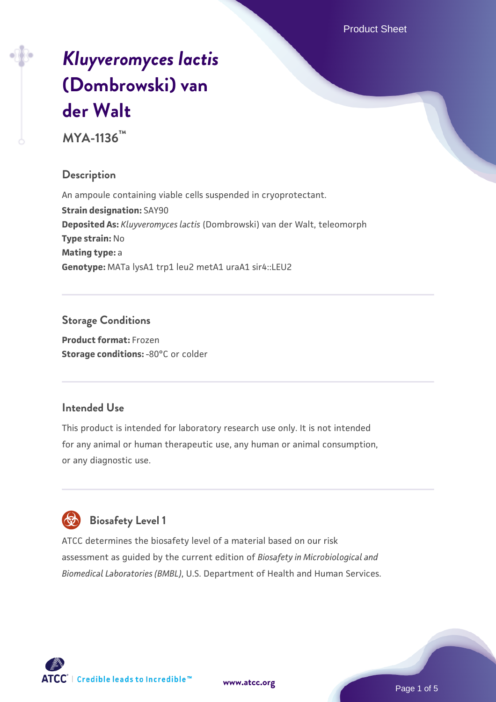# *[Kluyveromyces lactis](https://www.atcc.org/products/mya-1136)* **[\(Dombrowski\) van](https://www.atcc.org/products/mya-1136) [der Walt](https://www.atcc.org/products/mya-1136)**

**MYA-1136™**

#### **Description**

An ampoule containing viable cells suspended in cryoprotectant. **Strain designation:** SAY90 **Deposited As:** *Kluyveromyces lactis* (Dombrowski) van der Walt, teleomorph **Type strain:** No **Mating type:** a **Genotype:** MATa lysA1 trp1 leu2 metA1 uraA1 sir4::LEU2

## **Storage Conditions**

**Product format:** Frozen **Storage conditions: -80°C or colder** 

#### **Intended Use**

This product is intended for laboratory research use only. It is not intended for any animal or human therapeutic use, any human or animal consumption, or any diagnostic use.

# **Biosafety Level 1**

ATCC determines the biosafety level of a material based on our risk assessment as guided by the current edition of *Biosafety in Microbiological and Biomedical Laboratories (BMBL)*, U.S. Department of Health and Human Services.

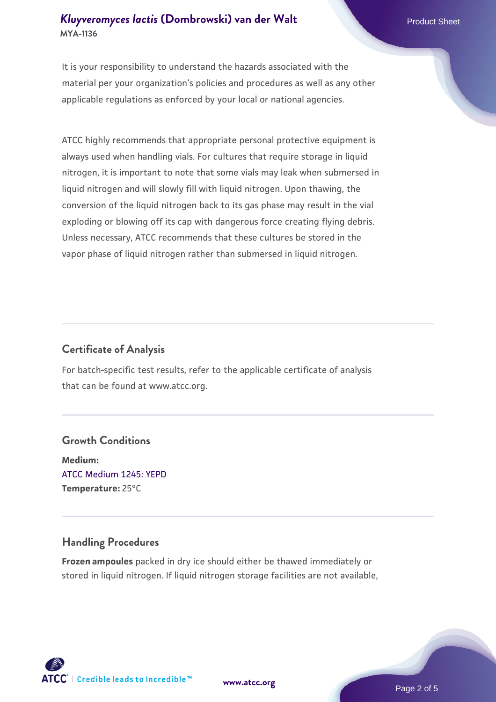#### *[Kluyveromyces lactis](https://www.atcc.org/products/mya-1136)* **[\(Dombrowski\) van der Walt](https://www.atcc.org/products/mya-1136)** Product Sheet **MYA-1136**

It is your responsibility to understand the hazards associated with the material per your organization's policies and procedures as well as any other applicable regulations as enforced by your local or national agencies.

ATCC highly recommends that appropriate personal protective equipment is always used when handling vials. For cultures that require storage in liquid nitrogen, it is important to note that some vials may leak when submersed in liquid nitrogen and will slowly fill with liquid nitrogen. Upon thawing, the conversion of the liquid nitrogen back to its gas phase may result in the vial exploding or blowing off its cap with dangerous force creating flying debris. Unless necessary, ATCC recommends that these cultures be stored in the vapor phase of liquid nitrogen rather than submersed in liquid nitrogen.

#### **Certificate of Analysis**

For batch-specific test results, refer to the applicable certificate of analysis that can be found at www.atcc.org.

#### **Growth Conditions**

**Medium:**  [ATCC Medium 1245: YEPD](https://www.atcc.org/-/media/product-assets/documents/microbial-media-formulations/1/2/4/5/atcc-medium-1245.pdf?rev=705ca55d1b6f490a808a965d5c072196) **Temperature:** 25°C

#### **Handling Procedures**

**Frozen ampoules** packed in dry ice should either be thawed immediately or stored in liquid nitrogen. If liquid nitrogen storage facilities are not available,

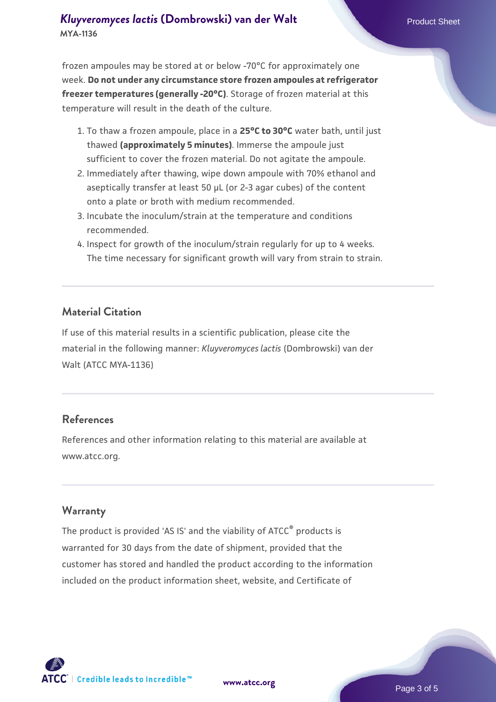#### *[Kluyveromyces lactis](https://www.atcc.org/products/mya-1136)* **[\(Dombrowski\) van der Walt](https://www.atcc.org/products/mya-1136)** Product Sheet **MYA-1136**

frozen ampoules may be stored at or below -70°C for approximately one week. **Do not under any circumstance store frozen ampoules at refrigerator freezer temperatures (generally -20°C)**. Storage of frozen material at this temperature will result in the death of the culture.

- 1. To thaw a frozen ampoule, place in a **25°C to 30°C** water bath, until just thawed **(approximately 5 minutes)**. Immerse the ampoule just sufficient to cover the frozen material. Do not agitate the ampoule.
- 2. Immediately after thawing, wipe down ampoule with 70% ethanol and aseptically transfer at least 50 µL (or 2-3 agar cubes) of the content onto a plate or broth with medium recommended.
- 3. Incubate the inoculum/strain at the temperature and conditions recommended.
- 4. Inspect for growth of the inoculum/strain regularly for up to 4 weeks. The time necessary for significant growth will vary from strain to strain.

#### **Material Citation**

If use of this material results in a scientific publication, please cite the material in the following manner: *Kluyveromyces lactis* (Dombrowski) van der Walt (ATCC MYA-1136)

#### **References**

References and other information relating to this material are available at www.atcc.org.

#### **Warranty**

The product is provided 'AS IS' and the viability of ATCC<sup>®</sup> products is warranted for 30 days from the date of shipment, provided that the customer has stored and handled the product according to the information included on the product information sheet, website, and Certificate of

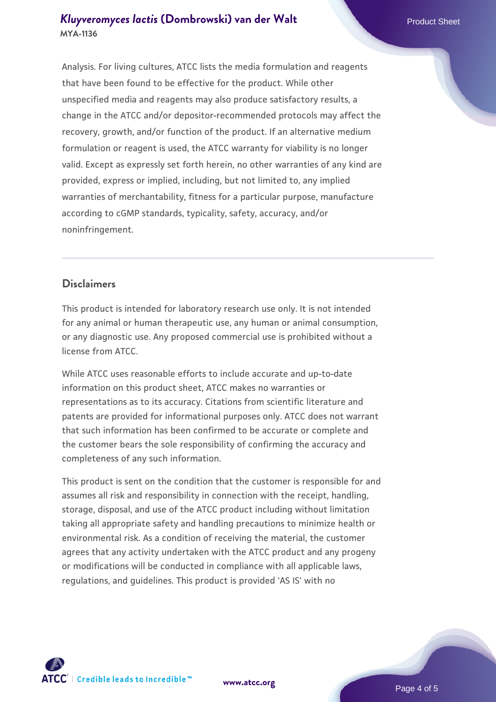#### *[Kluyveromyces lactis](https://www.atcc.org/products/mya-1136)* **[\(Dombrowski\) van der Walt](https://www.atcc.org/products/mya-1136)** Product Sheet **MYA-1136**

Analysis. For living cultures, ATCC lists the media formulation and reagents that have been found to be effective for the product. While other unspecified media and reagents may also produce satisfactory results, a change in the ATCC and/or depositor-recommended protocols may affect the recovery, growth, and/or function of the product. If an alternative medium formulation or reagent is used, the ATCC warranty for viability is no longer valid. Except as expressly set forth herein, no other warranties of any kind are provided, express or implied, including, but not limited to, any implied warranties of merchantability, fitness for a particular purpose, manufacture according to cGMP standards, typicality, safety, accuracy, and/or noninfringement.

#### **Disclaimers**

This product is intended for laboratory research use only. It is not intended for any animal or human therapeutic use, any human or animal consumption, or any diagnostic use. Any proposed commercial use is prohibited without a license from ATCC.

While ATCC uses reasonable efforts to include accurate and up-to-date information on this product sheet, ATCC makes no warranties or representations as to its accuracy. Citations from scientific literature and patents are provided for informational purposes only. ATCC does not warrant that such information has been confirmed to be accurate or complete and the customer bears the sole responsibility of confirming the accuracy and completeness of any such information.

This product is sent on the condition that the customer is responsible for and assumes all risk and responsibility in connection with the receipt, handling, storage, disposal, and use of the ATCC product including without limitation taking all appropriate safety and handling precautions to minimize health or environmental risk. As a condition of receiving the material, the customer agrees that any activity undertaken with the ATCC product and any progeny or modifications will be conducted in compliance with all applicable laws, regulations, and guidelines. This product is provided 'AS IS' with no



**[www.atcc.org](http://www.atcc.org)**

Page 4 of 5